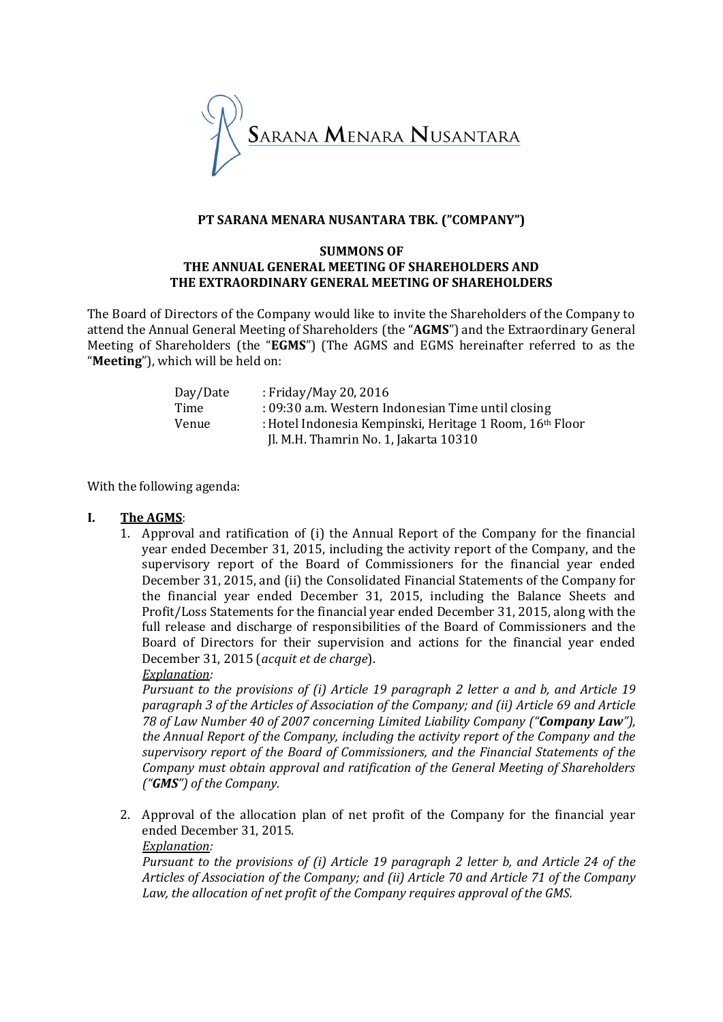

## **PT SARANA MENARA NUSANTARA TBK. ("COMPANY")**

#### **SUMMONS OF THE ANNUAL GENERAL MEETING OF SHAREHOLDERS AND THE EXTRAORDINARY GENERAL MEETING OF SHAREHOLDERS**

The Board of Directors of the Company would like to invite the Shareholders of the Company to attend the Annual General Meeting of Shareholders (the "**AGMS**") and the Extraordinary General Meeting of Shareholders (the "**EGMS**") (The AGMS and EGMS hereinafter referred to as the "**Meeting**"), which will be held on:

| Day/Date | : Friday/May 20, 2016                                                                             |
|----------|---------------------------------------------------------------------------------------------------|
| Time     | : 09:30 a.m. Western Indonesian Time until closing                                                |
| Venue    | : Hotel Indonesia Kempinski, Heritage 1 Room, 16th Floor<br>Il. M.H. Thamrin No. 1, Jakarta 10310 |

With the following agenda:

# **I. The AGMS**:

1. Approval and ratification of (i) the Annual Report of the Company for the financial year ended December 31, 2015, including the activity report of the Company, and the supervisory report of the Board of Commissioners for the financial year ended December 31, 2015, and (ii) the Consolidated Financial Statements of the Company for the financial year ended December 31, 2015, including the Balance Sheets and Profit/Loss Statements for the financial year ended December 31, 2015, along with the full release and discharge of responsibilities of the Board of Commissioners and the Board of Directors for their supervision and actions for the financial year ended December 31, 2015 (*acquit et de charge*). *Explanation:*

*Pursuant to the provisions of (i) Article 19 paragraph 2 letter a and b, and Article 19 paragraph 3 of the Articles of Association of the Company; and (ii) Article 69 and Article 78 of Law Number 40 of 2007 concerning Limited Liability Company ("Company Law"), the Annual Report of the Company, including the activity report of the Company and the supervisory report of the Board of Commissioners, and the Financial Statements of the Company must obtain approval and ratification of the General Meeting of Shareholders ("GMS") of the Company.* 

2. Approval of the allocation plan of net profit of the Company for the financial year ended December 31, 2015.

*Explanation: Pursuant to the provisions of (i) Article 19 paragraph 2 letter b, and Article 24 of the Articles of Association of the Company; and (ii) Article 70 and Article 71 of the Company Law, the allocation of net profit of the Company requires approval of the GMS.*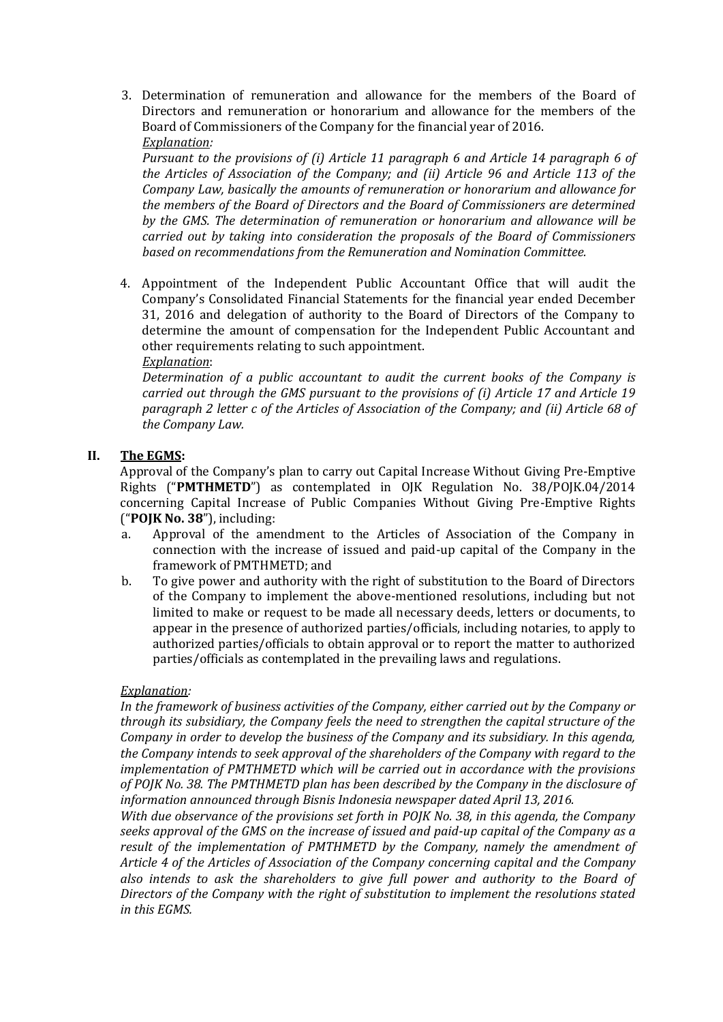3. Determination of remuneration and allowance for the members of the Board of Directors and remuneration or honorarium and allowance for the members of the Board of Commissioners of the Company for the financial year of 2016. *Explanation:*

*Pursuant to the provisions of (i) Article 11 paragraph 6 and Article 14 paragraph 6 of the Articles of Association of the Company; and (ii) Article 96 and Article 113 of the Company Law, basically the amounts of remuneration or honorarium and allowance for the members of the Board of Directors and the Board of Commissioners are determined by the GMS. The determination of remuneration or honorarium and allowance will be carried out by taking into consideration the proposals of the Board of Commissioners based on recommendations from the Remuneration and Nomination Committee.*

4. Appointment of the Independent Public Accountant Office that will audit the Company's Consolidated Financial Statements for the financial year ended December 31, 2016 and delegation of authority to the Board of Directors of the Company to determine the amount of compensation for the Independent Public Accountant and other requirements relating to such appointment. *Explanation*:

*Determination of a public accountant to audit the current books of the Company is carried out through the GMS pursuant to the provisions of (i) Article 17 and Article 19 paragraph 2 letter c of the Articles of Association of the Company; and (ii) Article 68 of the Company Law.*

# **II. The EGMS:**

Approval of the Company's plan to carry out Capital Increase Without Giving Pre-Emptive Rights ("**PMTHMETD**") as contemplated in OJK Regulation No. 38/POJK.04/2014 concerning Capital Increase of Public Companies Without Giving Pre-Emptive Rights ("**POJK No. 38**"), including:

- a. Approval of the amendment to the Articles of Association of the Company in connection with the increase of issued and paid-up capital of the Company in the framework of PMTHMETD; and
- b. To give power and authority with the right of substitution to the Board of Directors of the Company to implement the above-mentioned resolutions, including but not limited to make or request to be made all necessary deeds, letters or documents, to appear in the presence of authorized parties/officials, including notaries, to apply to authorized parties/officials to obtain approval or to report the matter to authorized parties/officials as contemplated in the prevailing laws and regulations.

# *Explanation:*

*In the framework of business activities of the Company, either carried out by the Company or through its subsidiary, the Company feels the need to strengthen the capital structure of the Company in order to develop the business of the Company and its subsidiary. In this agenda, the Company intends to seek approval of the shareholders of the Company with regard to the implementation of PMTHMETD which will be carried out in accordance with the provisions of POJK No. 38. The PMTHMETD plan has been described by the Company in the disclosure of information announced through Bisnis Indonesia newspaper dated April 13, 2016.*

*With due observance of the provisions set forth in POJK No. 38, in this agenda, the Company seeks approval of the GMS on the increase of issued and paid-up capital of the Company as a result of the implementation of PMTHMETD by the Company, namely the amendment of Article 4 of the Articles of Association of the Company concerning capital and the Company also intends to ask the shareholders to give full power and authority to the Board of Directors of the Company with the right of substitution to implement the resolutions stated in this EGMS.*